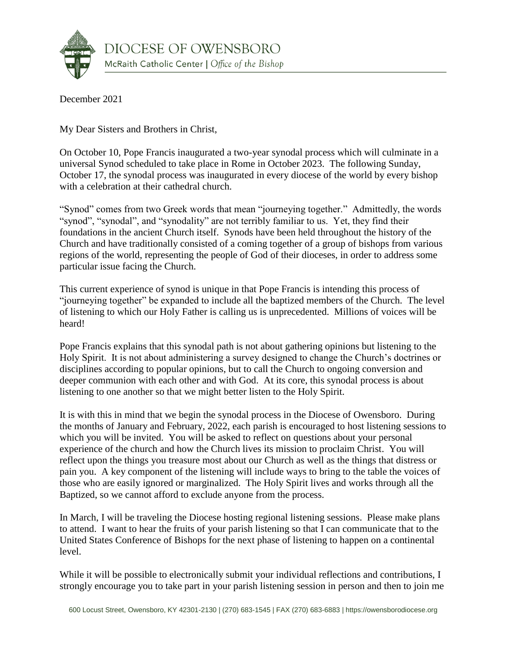

December 2021

My Dear Sisters and Brothers in Christ,

On October 10, Pope Francis inaugurated a two-year synodal process which will culminate in a universal Synod scheduled to take place in Rome in October 2023. The following Sunday, October 17, the synodal process was inaugurated in every diocese of the world by every bishop with a celebration at their cathedral church.

"Synod" comes from two Greek words that mean "journeying together." Admittedly, the words "synod", "synodal", and "synodality" are not terribly familiar to us. Yet, they find their foundations in the ancient Church itself. Synods have been held throughout the history of the Church and have traditionally consisted of a coming together of a group of bishops from various regions of the world, representing the people of God of their dioceses, in order to address some particular issue facing the Church.

This current experience of synod is unique in that Pope Francis is intending this process of "journeying together" be expanded to include all the baptized members of the Church. The level of listening to which our Holy Father is calling us is unprecedented. Millions of voices will be heard!

Pope Francis explains that this synodal path is not about gathering opinions but listening to the Holy Spirit. It is not about administering a survey designed to change the Church's doctrines or disciplines according to popular opinions, but to call the Church to ongoing conversion and deeper communion with each other and with God. At its core, this synodal process is about listening to one another so that we might better listen to the Holy Spirit.

It is with this in mind that we begin the synodal process in the Diocese of Owensboro. During the months of January and February, 2022, each parish is encouraged to host listening sessions to which you will be invited. You will be asked to reflect on questions about your personal experience of the church and how the Church lives its mission to proclaim Christ. You will reflect upon the things you treasure most about our Church as well as the things that distress or pain you. A key component of the listening will include ways to bring to the table the voices of those who are easily ignored or marginalized. The Holy Spirit lives and works through all the Baptized, so we cannot afford to exclude anyone from the process.

In March, I will be traveling the Diocese hosting regional listening sessions. Please make plans to attend. I want to hear the fruits of your parish listening so that I can communicate that to the United States Conference of Bishops for the next phase of listening to happen on a continental level.

While it will be possible to electronically submit your individual reflections and contributions, I strongly encourage you to take part in your parish listening session in person and then to join me